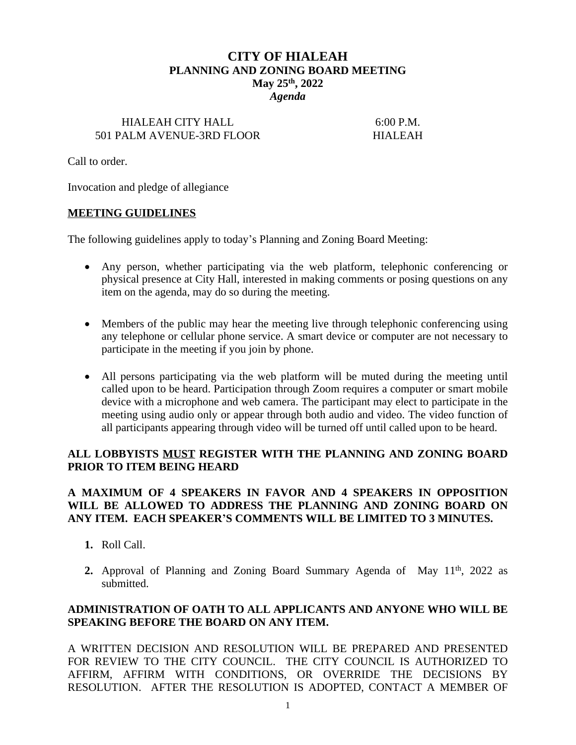# **CITY OF HIALEAH PLANNING AND ZONING BOARD MEETING May 25th, 2022** *Agenda*

#### HIALEAH CITY HALL 6:00 P.M. 501 PALM AVENUE-3RD FLOOR HIALEAH

Call to order.

Invocation and pledge of allegiance

#### **MEETING GUIDELINES**

The following guidelines apply to today's Planning and Zoning Board Meeting:

- Any person, whether participating via the web platform, telephonic conferencing or physical presence at City Hall, interested in making comments or posing questions on any item on the agenda, may do so during the meeting.
- Members of the public may hear the meeting live through telephonic conferencing using any telephone or cellular phone service. A smart device or computer are not necessary to participate in the meeting if you join by phone.
- All persons participating via the web platform will be muted during the meeting until called upon to be heard. Participation through Zoom requires a computer or smart mobile device with a microphone and web camera. The participant may elect to participate in the meeting using audio only or appear through both audio and video. The video function of all participants appearing through video will be turned off until called upon to be heard.

### **ALL LOBBYISTS MUST REGISTER WITH THE PLANNING AND ZONING BOARD PRIOR TO ITEM BEING HEARD**

## **A MAXIMUM OF 4 SPEAKERS IN FAVOR AND 4 SPEAKERS IN OPPOSITION WILL BE ALLOWED TO ADDRESS THE PLANNING AND ZONING BOARD ON ANY ITEM. EACH SPEAKER'S COMMENTS WILL BE LIMITED TO 3 MINUTES.**

- **1.** Roll Call.
- 2. Approval of Planning and Zoning Board Summary Agenda of May 11<sup>th</sup>, 2022 as submitted.

## **ADMINISTRATION OF OATH TO ALL APPLICANTS AND ANYONE WHO WILL BE SPEAKING BEFORE THE BOARD ON ANY ITEM.**

A WRITTEN DECISION AND RESOLUTION WILL BE PREPARED AND PRESENTED FOR REVIEW TO THE CITY COUNCIL. THE CITY COUNCIL IS AUTHORIZED TO AFFIRM, AFFIRM WITH CONDITIONS, OR OVERRIDE THE DECISIONS BY RESOLUTION. AFTER THE RESOLUTION IS ADOPTED, CONTACT A MEMBER OF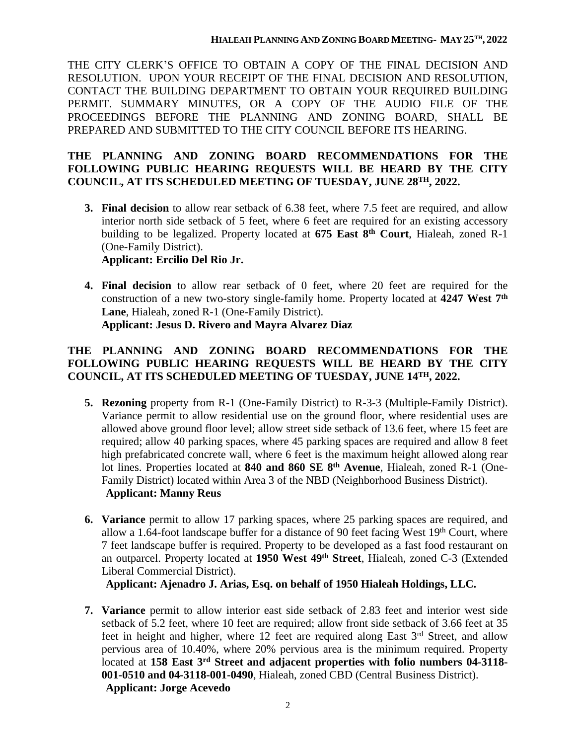THE CITY CLERK'S OFFICE TO OBTAIN A COPY OF THE FINAL DECISION AND RESOLUTION. UPON YOUR RECEIPT OF THE FINAL DECISION AND RESOLUTION, CONTACT THE BUILDING DEPARTMENT TO OBTAIN YOUR REQUIRED BUILDING PERMIT. SUMMARY MINUTES, OR A COPY OF THE AUDIO FILE OF THE PROCEEDINGS BEFORE THE PLANNING AND ZONING BOARD, SHALL BE PREPARED AND SUBMITTED TO THE CITY COUNCIL BEFORE ITS HEARING.

## **THE PLANNING AND ZONING BOARD RECOMMENDATIONS FOR THE FOLLOWING PUBLIC HEARING REQUESTS WILL BE HEARD BY THE CITY COUNCIL, AT ITS SCHEDULED MEETING OF TUESDAY, JUNE 28TH, 2022.**

**3. Final decision** to allow rear setback of 6.38 feet, where 7.5 feet are required, and allow interior north side setback of 5 feet, where 6 feet are required for an existing accessory building to be legalized. Property located at **675 East 8 th Court**, Hialeah, zoned R-1 (One-Family District).

# **Applicant: Ercilio Del Rio Jr.**

**4. Final decision** to allow rear setback of 0 feet, where 20 feet are required for the construction of a new two-story single-family home. Property located at **4247 West 7 th Lane**, Hialeah, zoned R-1 (One-Family District). **Applicant: Jesus D. Rivero and Mayra Alvarez Diaz**

# **THE PLANNING AND ZONING BOARD RECOMMENDATIONS FOR THE FOLLOWING PUBLIC HEARING REQUESTS WILL BE HEARD BY THE CITY COUNCIL, AT ITS SCHEDULED MEETING OF TUESDAY, JUNE 14TH, 2022.**

- **5. Rezoning** property from R-1 (One-Family District) to R-3-3 (Multiple-Family District). Variance permit to allow residential use on the ground floor, where residential uses are allowed above ground floor level; allow street side setback of 13.6 feet, where 15 feet are required; allow 40 parking spaces, where 45 parking spaces are required and allow 8 feet high prefabricated concrete wall, where 6 feet is the maximum height allowed along rear lot lines. Properties located at **840 and 860 SE 8 th Avenue**, Hialeah, zoned R-1 (One-Family District) located within Area 3 of the NBD (Neighborhood Business District). **Applicant: Manny Reus**
- **6. Variance** permit to allow 17 parking spaces, where 25 parking spaces are required, and allow a 1.64-foot landscape buffer for a distance of 90 feet facing West  $19<sup>th</sup>$  Court, where 7 feet landscape buffer is required. Property to be developed as a fast food restaurant on an outparcel. Property located at **1950 West 49th Street**, Hialeah, zoned C-3 (Extended Liberal Commercial District).

**Applicant: Ajenadro J. Arias, Esq. on behalf of 1950 Hialeah Holdings, LLC.**

**7. Variance** permit to allow interior east side setback of 2.83 feet and interior west side setback of 5.2 feet, where 10 feet are required; allow front side setback of 3.66 feet at 35 feet in height and higher, where 12 feet are required along East 3<sup>rd</sup> Street, and allow pervious area of 10.40%, where 20% pervious area is the minimum required. Property located at **158 East 3 rd Street and adjacent properties with folio numbers 04-3118- 001-0510 and 04-3118-001-0490**, Hialeah, zoned CBD (Central Business District). **Applicant: Jorge Acevedo**